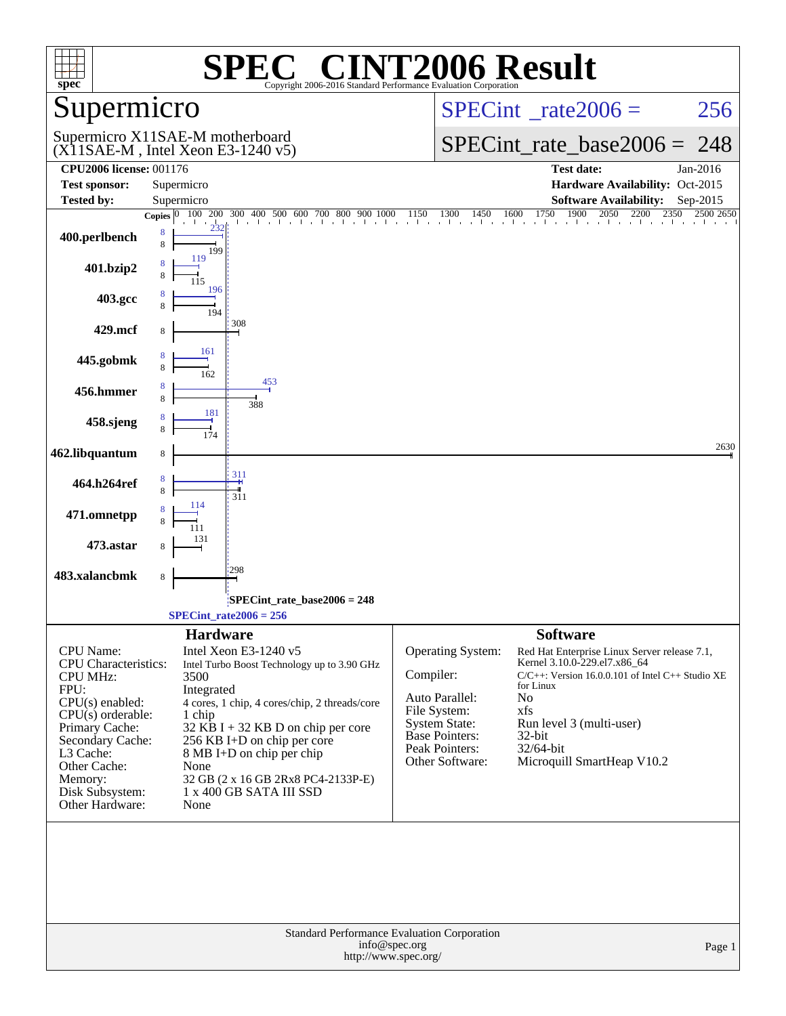| spec                                                                                                                                                                                                                                | $\bigcap$<br>Copyright 2006-2016 Standard Performance Evaluation Corporation                                                                                                                                                                                                                                                                                  | <b>INT2006 Result</b>                                                                                                                                                                                                                                                                                                                                                                                                              |
|-------------------------------------------------------------------------------------------------------------------------------------------------------------------------------------------------------------------------------------|---------------------------------------------------------------------------------------------------------------------------------------------------------------------------------------------------------------------------------------------------------------------------------------------------------------------------------------------------------------|------------------------------------------------------------------------------------------------------------------------------------------------------------------------------------------------------------------------------------------------------------------------------------------------------------------------------------------------------------------------------------------------------------------------------------|
| upermicro                                                                                                                                                                                                                           |                                                                                                                                                                                                                                                                                                                                                               | $SPECint^{\circ}$ rate $2006 =$<br>256                                                                                                                                                                                                                                                                                                                                                                                             |
|                                                                                                                                                                                                                                     | Supermicro X11SAE-M motherboard<br>$(X11SAE-M, Intel Xeon E3-1240 v5)$                                                                                                                                                                                                                                                                                        | $SPECint_rate\_base2006 =$<br>248                                                                                                                                                                                                                                                                                                                                                                                                  |
| <b>CPU2006 license: 001176</b>                                                                                                                                                                                                      |                                                                                                                                                                                                                                                                                                                                                               | <b>Test date:</b><br>Jan-2016                                                                                                                                                                                                                                                                                                                                                                                                      |
| <b>Test sponsor:</b>                                                                                                                                                                                                                | Supermicro                                                                                                                                                                                                                                                                                                                                                    | Hardware Availability: Oct-2015                                                                                                                                                                                                                                                                                                                                                                                                    |
| <b>Tested by:</b>                                                                                                                                                                                                                   | Supermicro<br>200<br>300<br>Copies $ 0\rangle$                                                                                                                                                                                                                                                                                                                | <b>Software Availability:</b><br>Sep-2015<br>$23\overline{50}$<br>2500 2650                                                                                                                                                                                                                                                                                                                                                        |
| 400.perlbench                                                                                                                                                                                                                       | 8<br>8<br>199                                                                                                                                                                                                                                                                                                                                                 |                                                                                                                                                                                                                                                                                                                                                                                                                                    |
| 401.bzip2                                                                                                                                                                                                                           | 119<br>115                                                                                                                                                                                                                                                                                                                                                    |                                                                                                                                                                                                                                                                                                                                                                                                                                    |
| 403.gcc                                                                                                                                                                                                                             | 196<br>194                                                                                                                                                                                                                                                                                                                                                    |                                                                                                                                                                                                                                                                                                                                                                                                                                    |
| 429.mcf                                                                                                                                                                                                                             | 308<br>8                                                                                                                                                                                                                                                                                                                                                      |                                                                                                                                                                                                                                                                                                                                                                                                                                    |
| 445.gobmk                                                                                                                                                                                                                           | 161<br>8<br>162                                                                                                                                                                                                                                                                                                                                               |                                                                                                                                                                                                                                                                                                                                                                                                                                    |
| 456.hmmer                                                                                                                                                                                                                           | 453<br>8<br>388<br>181                                                                                                                                                                                                                                                                                                                                        |                                                                                                                                                                                                                                                                                                                                                                                                                                    |
| 458.sjeng                                                                                                                                                                                                                           |                                                                                                                                                                                                                                                                                                                                                               |                                                                                                                                                                                                                                                                                                                                                                                                                                    |
| 462.libquantum                                                                                                                                                                                                                      | 8                                                                                                                                                                                                                                                                                                                                                             | 2630                                                                                                                                                                                                                                                                                                                                                                                                                               |
| 464.h264ref                                                                                                                                                                                                                         | 311<br>8<br>8<br>311                                                                                                                                                                                                                                                                                                                                          |                                                                                                                                                                                                                                                                                                                                                                                                                                    |
| 471.omnetpp                                                                                                                                                                                                                         | 114<br>131                                                                                                                                                                                                                                                                                                                                                    |                                                                                                                                                                                                                                                                                                                                                                                                                                    |
| 473.astar                                                                                                                                                                                                                           | 8<br>298                                                                                                                                                                                                                                                                                                                                                      |                                                                                                                                                                                                                                                                                                                                                                                                                                    |
| 483.xalancbmk                                                                                                                                                                                                                       | 8                                                                                                                                                                                                                                                                                                                                                             |                                                                                                                                                                                                                                                                                                                                                                                                                                    |
|                                                                                                                                                                                                                                     | SPECint rate base $2006 = 248$<br>$SPECint_rate2006 = 256$                                                                                                                                                                                                                                                                                                    |                                                                                                                                                                                                                                                                                                                                                                                                                                    |
|                                                                                                                                                                                                                                     |                                                                                                                                                                                                                                                                                                                                                               |                                                                                                                                                                                                                                                                                                                                                                                                                                    |
| CPU Name:<br><b>CPU</b> Characteristics:<br><b>CPU MHz:</b><br>FPU:<br>$CPU(s)$ enabled:<br>$CPU(s)$ orderable:<br>Primary Cache:<br>Secondary Cache:<br>L3 Cache:<br>Other Cache:<br>Memory:<br>Disk Subsystem:<br>Other Hardware: | <b>Hardware</b><br>Intel Xeon E3-1240 v5<br>Intel Turbo Boost Technology up to 3.90 GHz<br>3500<br>Integrated<br>4 cores, 1 chip, 4 cores/chip, 2 threads/core<br>1 chip<br>$32$ KB I + 32 KB D on chip per core<br>256 KB I+D on chip per core<br>8 MB I+D on chip per chip<br>None<br>32 GB (2 x 16 GB 2Rx8 PC4-2133P-E)<br>1 x 400 GB SATA III SSD<br>None | <b>Software</b><br><b>Operating System:</b><br>Red Hat Enterprise Linux Server release 7.1,<br>Kernel 3.10.0-229.el7.x86_64<br>Compiler:<br>C/C++: Version 16.0.0.101 of Intel C++ Studio XE<br>for Linux<br>Auto Parallel:<br>No<br>File System:<br>xfs<br><b>System State:</b><br>Run level 3 (multi-user)<br><b>Base Pointers:</b><br>$32$ -bit<br>Peak Pointers:<br>32/64-bit<br>Other Software:<br>Microquill SmartHeap V10.2 |
|                                                                                                                                                                                                                                     | Standard Performance Evaluation Corporation                                                                                                                                                                                                                                                                                                                   |                                                                                                                                                                                                                                                                                                                                                                                                                                    |
|                                                                                                                                                                                                                                     | info@spec.org<br>http://www.spec.org/                                                                                                                                                                                                                                                                                                                         | Page 1                                                                                                                                                                                                                                                                                                                                                                                                                             |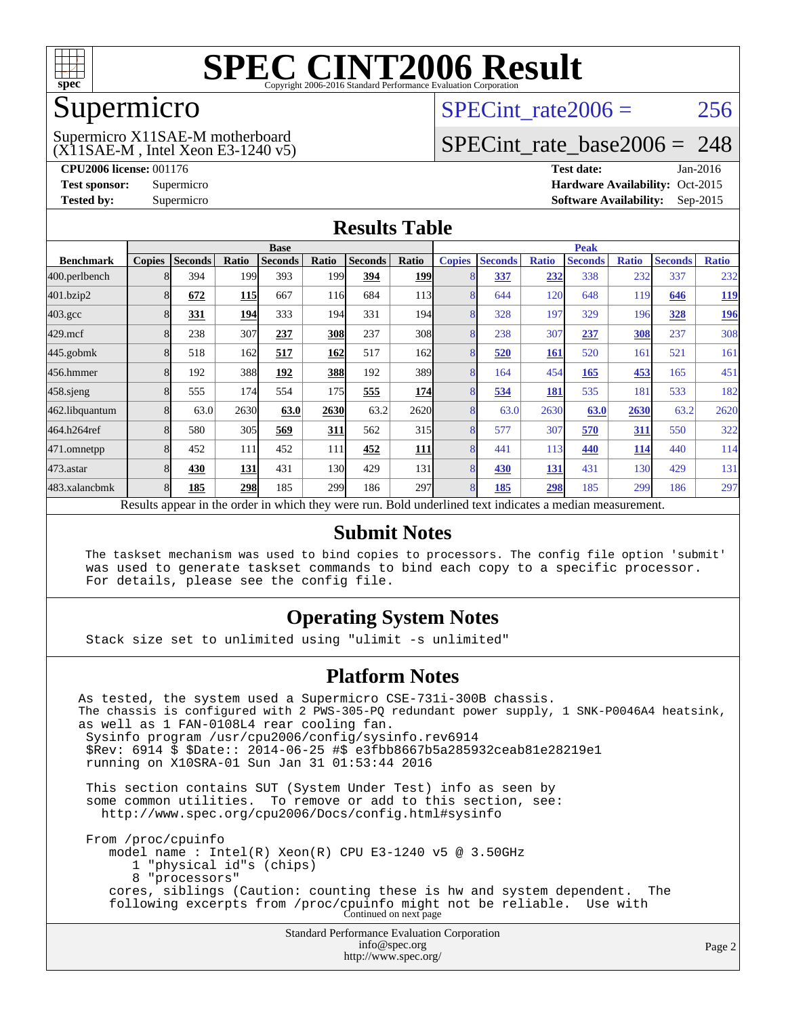

### Supermicro

### (X11SAE-M , Intel Xeon E3-1240 v5) Supermicro X11SAE-M motherboard

SPECint rate $2006 = 256$ 

### [SPECint\\_rate\\_base2006 =](http://www.spec.org/auto/cpu2006/Docs/result-fields.html#SPECintratebase2006) 248

**[CPU2006 license:](http://www.spec.org/auto/cpu2006/Docs/result-fields.html#CPU2006license)** 001176 **[Test date:](http://www.spec.org/auto/cpu2006/Docs/result-fields.html#Testdate)** Jan-2016 **[Test sponsor:](http://www.spec.org/auto/cpu2006/Docs/result-fields.html#Testsponsor)** Supermicro Supermicro **[Hardware Availability:](http://www.spec.org/auto/cpu2006/Docs/result-fields.html#HardwareAvailability)** Oct-2015 **[Tested by:](http://www.spec.org/auto/cpu2006/Docs/result-fields.html#Testedby)** Supermicro **Supermicro [Software Availability:](http://www.spec.org/auto/cpu2006/Docs/result-fields.html#SoftwareAvailability)** Sep-2015

### **[Results Table](http://www.spec.org/auto/cpu2006/Docs/result-fields.html#ResultsTable)**

|                                                                                                          | <b>Base</b>   |                |            |                | <b>Peak</b> |                |            |                |                |              |                |              |                |              |
|----------------------------------------------------------------------------------------------------------|---------------|----------------|------------|----------------|-------------|----------------|------------|----------------|----------------|--------------|----------------|--------------|----------------|--------------|
| <b>Benchmark</b>                                                                                         | <b>Copies</b> | <b>Seconds</b> | Ratio      | <b>Seconds</b> | Ratio       | <b>Seconds</b> | Ratio      | <b>Copies</b>  | <b>Seconds</b> | <b>Ratio</b> | <b>Seconds</b> | <b>Ratio</b> | <b>Seconds</b> | <b>Ratio</b> |
| 400.perlbench                                                                                            |               | 394            | 199        | 393            | 199         | 394            | <b>199</b> |                | 337            | 232          | 338            | 232          | 337            | 232          |
| 401.bzip2                                                                                                |               | 672            | <b>115</b> | 667            | 116         | 684            | 113        |                | 644            | 120          | 648            | 119          | 646            | <u>119</u>   |
| $403.\text{gcc}$                                                                                         |               | 331            | 194        | 333            | 194         | 331            | 194        | 8              | 328            | 197          | 329            | 196          | 328            | <u>196</u>   |
| $429$ .mcf                                                                                               |               | 238            | 307        | 237            | 308         | 237            | 308        | 8              | 238            | 307          | 237            | 308          | 237            | 308          |
| 445.gobmk                                                                                                |               | 518            | 162        | 517            | 162         | 517            | 162        |                | 520            | <b>161</b>   | 520            | 161          | 521            | 161          |
| 456.hmmer                                                                                                |               | 192            | 388        | 192            | 388         | 192            | 389        | 8              | 164            | 454          | 165            | 453          | 165            | 451          |
| $458$ .sjeng                                                                                             |               | 555            | 174        | 554            | 175         | 555            | 174        | 8              | 534            | 181          | 535            | 181          | 533            | 182          |
| 462.libquantum                                                                                           |               | 63.0           | 2630       | 63.0           | 2630        | 63.2           | 2620       | 8              | 63.0           | 2630         | 63.0           | 2630         | 63.2           | 2620         |
| 464.h264ref                                                                                              |               | 580            | 305        | 569            | 311         | 562            | 315        |                | 577            | 307          | 570            | 311          | 550            | 322          |
| 471.omnetpp                                                                                              |               | 452            | 111        | 452            | 111         | 452            | <u>111</u> |                | 441            | 113          | 440            | <u>114</u>   | 440            | 114          |
| $473$ . astar                                                                                            | 8             | 430            | 131        | 431            | 130         | 429            | 131        | $\overline{8}$ | 430            | 131          | 431            | 130          | 429            | 131          |
| 483.xalancbmk                                                                                            |               | 185            | 298        | 185            | 299         | 186            | 297        | 8              | 185            | 298          | 185            | 299          | 186            | 297          |
| Results appear in the order in which they were run. Bold underlined text indicates a median measurement. |               |                |            |                |             |                |            |                |                |              |                |              |                |              |

### **[Submit Notes](http://www.spec.org/auto/cpu2006/Docs/result-fields.html#SubmitNotes)**

 The taskset mechanism was used to bind copies to processors. The config file option 'submit' was used to generate taskset commands to bind each copy to a specific processor. For details, please see the config file.

### **[Operating System Notes](http://www.spec.org/auto/cpu2006/Docs/result-fields.html#OperatingSystemNotes)**

Stack size set to unlimited using "ulimit -s unlimited"

### **[Platform Notes](http://www.spec.org/auto/cpu2006/Docs/result-fields.html#PlatformNotes)**

Standard Performance Evaluation Corporation [info@spec.org](mailto:info@spec.org) As tested, the system used a Supermicro CSE-731i-300B chassis. The chassis is configured with 2 PWS-305-PQ redundant power supply, 1 SNK-P0046A4 heatsink, as well as 1 FAN-0108L4 rear cooling fan. Sysinfo program /usr/cpu2006/config/sysinfo.rev6914 \$Rev: 6914 \$ \$Date:: 2014-06-25 #\$ e3fbb8667b5a285932ceab81e28219e1 running on X10SRA-01 Sun Jan 31 01:53:44 2016 This section contains SUT (System Under Test) info as seen by some common utilities. To remove or add to this section, see: <http://www.spec.org/cpu2006/Docs/config.html#sysinfo> From /proc/cpuinfo model name : Intel(R) Xeon(R) CPU E3-1240 v5 @ 3.50GHz 1 "physical id"s (chips) 8 "processors" cores, siblings (Caution: counting these is hw and system dependent. The following excerpts from /proc/cpuinfo might not be reliable. Use with Continued on next page

<http://www.spec.org/>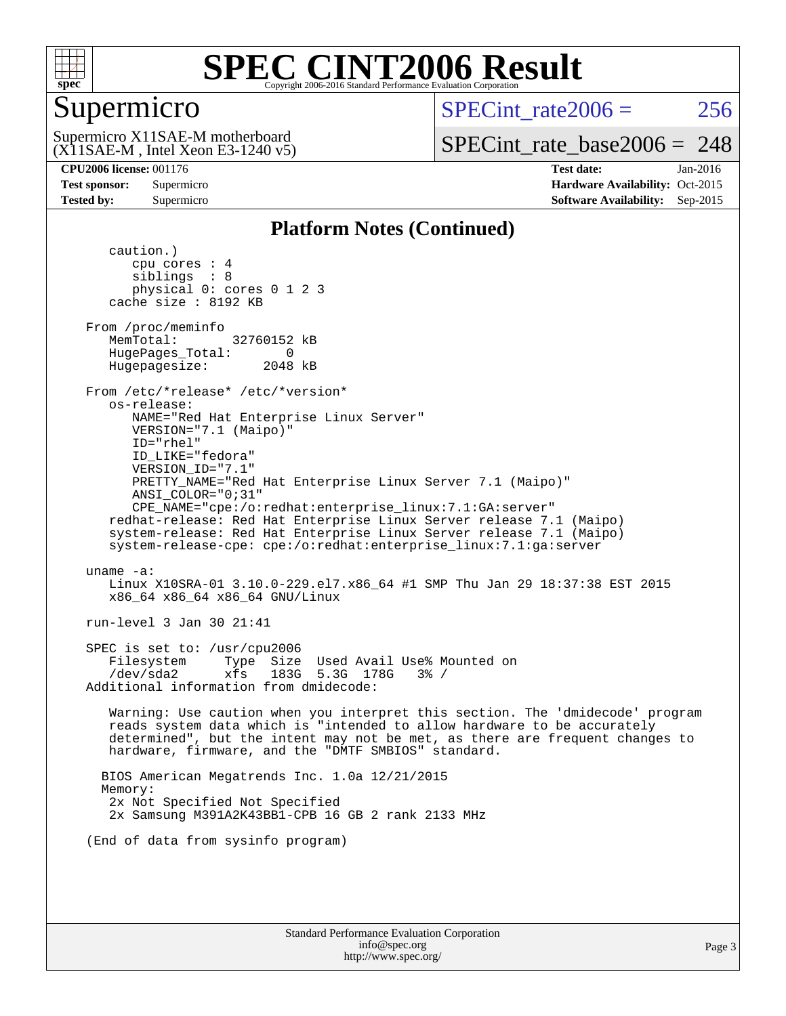

### Supermicro

SPECint rate $2006 = 256$ 

(X11SAE-M , Intel Xeon E3-1240 v5) Supermicro X11SAE-M motherboard

[SPECint\\_rate\\_base2006 =](http://www.spec.org/auto/cpu2006/Docs/result-fields.html#SPECintratebase2006) 248

**[CPU2006 license:](http://www.spec.org/auto/cpu2006/Docs/result-fields.html#CPU2006license)** 001176 **[Test date:](http://www.spec.org/auto/cpu2006/Docs/result-fields.html#Testdate)** Jan-2016 **[Test sponsor:](http://www.spec.org/auto/cpu2006/Docs/result-fields.html#Testsponsor)** Supermicro Supermicro **[Hardware Availability:](http://www.spec.org/auto/cpu2006/Docs/result-fields.html#HardwareAvailability)** Oct-2015 **[Tested by:](http://www.spec.org/auto/cpu2006/Docs/result-fields.html#Testedby)** Supermicro **Supermicro [Software Availability:](http://www.spec.org/auto/cpu2006/Docs/result-fields.html#SoftwareAvailability)** Sep-2015

### **[Platform Notes \(Continued\)](http://www.spec.org/auto/cpu2006/Docs/result-fields.html#PlatformNotes)**

 caution.) cpu cores : 4 siblings : 8 physical 0: cores 0 1 2 3 cache size : 8192 KB From /proc/meminfo MemTotal: 32760152 kB HugePages\_Total: 0<br>Hugepagesize: 2048 kB Hugepagesize: From /etc/\*release\* /etc/\*version\* os-release: NAME="Red Hat Enterprise Linux Server" VERSION="7.1 (Maipo)" ID="rhel" ID\_LIKE="fedora" VERSION\_ID="7.1" PRETTY\_NAME="Red Hat Enterprise Linux Server 7.1 (Maipo)" ANSI\_COLOR="0;31" CPE\_NAME="cpe:/o:redhat:enterprise\_linux:7.1:GA:server" redhat-release: Red Hat Enterprise Linux Server release 7.1 (Maipo) system-release: Red Hat Enterprise Linux Server release 7.1 (Maipo) system-release-cpe: cpe:/o:redhat:enterprise\_linux:7.1:ga:server uname -a: Linux X10SRA-01 3.10.0-229.el7.x86\_64 #1 SMP Thu Jan 29 18:37:38 EST 2015 x86\_64 x86\_64 x86\_64 GNU/Linux run-level 3 Jan 30 21:41 SPEC is set to: /usr/cpu2006 Filesystem Type Size Used Avail Use% Mounted on /dev/sda2 xfs 183G 5.3G 178G 3% / Additional information from dmidecode: Warning: Use caution when you interpret this section. The 'dmidecode' program reads system data which is "intended to allow hardware to be accurately determined", but the intent may not be met, as there are frequent changes to hardware, firmware, and the "DMTF SMBIOS" standard. BIOS American Megatrends Inc. 1.0a 12/21/2015 Memory: 2x Not Specified Not Specified 2x Samsung M391A2K43BB1-CPB 16 GB 2 rank 2133 MHz (End of data from sysinfo program)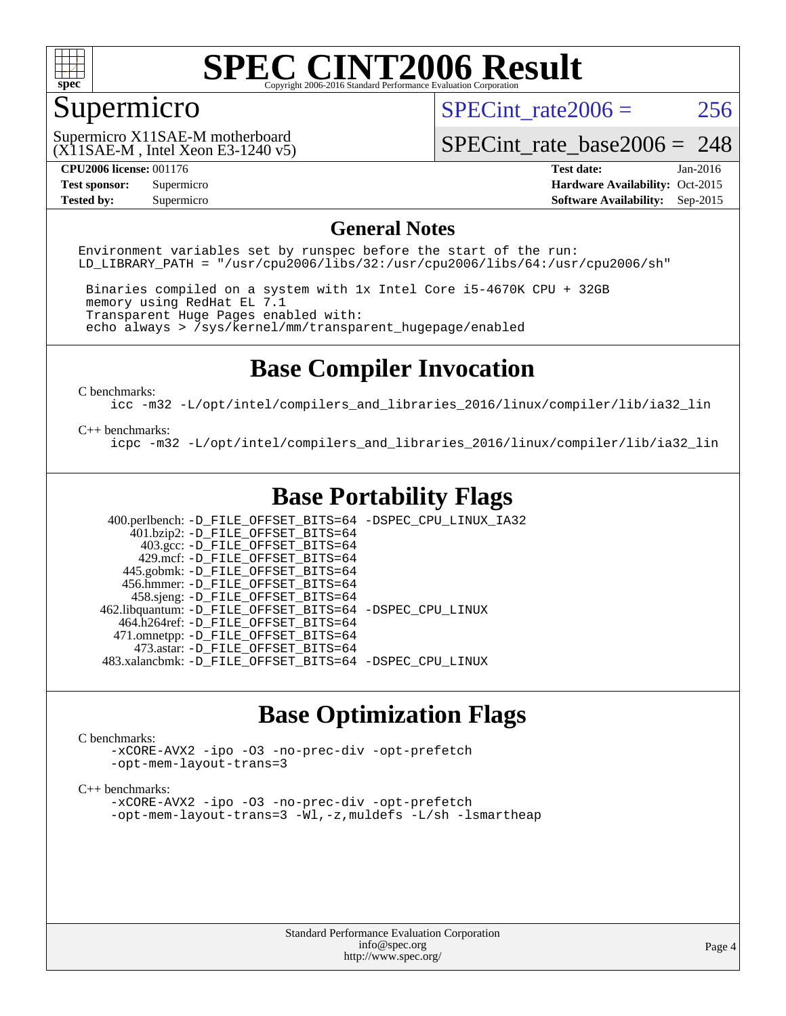

### Supermicro

SPECint rate $2006 = 256$ 

(X11SAE-M , Intel Xeon E3-1240 v5) Supermicro X11SAE-M motherboard

[SPECint\\_rate\\_base2006 =](http://www.spec.org/auto/cpu2006/Docs/result-fields.html#SPECintratebase2006) 248

**[CPU2006 license:](http://www.spec.org/auto/cpu2006/Docs/result-fields.html#CPU2006license)** 001176 **[Test date:](http://www.spec.org/auto/cpu2006/Docs/result-fields.html#Testdate)** Jan-2016 **[Test sponsor:](http://www.spec.org/auto/cpu2006/Docs/result-fields.html#Testsponsor)** Supermicro Supermicro **[Hardware Availability:](http://www.spec.org/auto/cpu2006/Docs/result-fields.html#HardwareAvailability)** Oct-2015 **[Tested by:](http://www.spec.org/auto/cpu2006/Docs/result-fields.html#Testedby)** Supermicro **Supermicro [Software Availability:](http://www.spec.org/auto/cpu2006/Docs/result-fields.html#SoftwareAvailability)** Sep-2015

### **[General Notes](http://www.spec.org/auto/cpu2006/Docs/result-fields.html#GeneralNotes)**

Environment variables set by runspec before the start of the run: LD LIBRARY PATH = "/usr/cpu2006/libs/32:/usr/cpu2006/libs/64:/usr/cpu2006/sh"

 Binaries compiled on a system with 1x Intel Core i5-4670K CPU + 32GB memory using RedHat EL 7.1 Transparent Huge Pages enabled with: echo always > /sys/kernel/mm/transparent\_hugepage/enabled

### **[Base Compiler Invocation](http://www.spec.org/auto/cpu2006/Docs/result-fields.html#BaseCompilerInvocation)**

[C benchmarks](http://www.spec.org/auto/cpu2006/Docs/result-fields.html#Cbenchmarks):

[icc -m32 -L/opt/intel/compilers\\_and\\_libraries\\_2016/linux/compiler/lib/ia32\\_lin](http://www.spec.org/cpu2006/results/res2016q1/cpu2006-20160206-38980.flags.html#user_CCbase_intel_icc_e10256ba5924b668798078a321b0cb3f)

#### [C++ benchmarks:](http://www.spec.org/auto/cpu2006/Docs/result-fields.html#CXXbenchmarks)

[icpc -m32 -L/opt/intel/compilers\\_and\\_libraries\\_2016/linux/compiler/lib/ia32\\_lin](http://www.spec.org/cpu2006/results/res2016q1/cpu2006-20160206-38980.flags.html#user_CXXbase_intel_icpc_b4f50a394bdb4597aa5879c16bc3f5c5)

### **[Base Portability Flags](http://www.spec.org/auto/cpu2006/Docs/result-fields.html#BasePortabilityFlags)**

 400.perlbench: [-D\\_FILE\\_OFFSET\\_BITS=64](http://www.spec.org/cpu2006/results/res2016q1/cpu2006-20160206-38980.flags.html#user_basePORTABILITY400_perlbench_file_offset_bits_64_438cf9856305ebd76870a2c6dc2689ab) [-DSPEC\\_CPU\\_LINUX\\_IA32](http://www.spec.org/cpu2006/results/res2016q1/cpu2006-20160206-38980.flags.html#b400.perlbench_baseCPORTABILITY_DSPEC_CPU_LINUX_IA32)  $401.bzip2: -D$ FILE\_OFFSET\_BITS=64 403.gcc: [-D\\_FILE\\_OFFSET\\_BITS=64](http://www.spec.org/cpu2006/results/res2016q1/cpu2006-20160206-38980.flags.html#user_basePORTABILITY403_gcc_file_offset_bits_64_438cf9856305ebd76870a2c6dc2689ab) 429.mcf: [-D\\_FILE\\_OFFSET\\_BITS=64](http://www.spec.org/cpu2006/results/res2016q1/cpu2006-20160206-38980.flags.html#user_basePORTABILITY429_mcf_file_offset_bits_64_438cf9856305ebd76870a2c6dc2689ab) 445.gobmk: [-D\\_FILE\\_OFFSET\\_BITS=64](http://www.spec.org/cpu2006/results/res2016q1/cpu2006-20160206-38980.flags.html#user_basePORTABILITY445_gobmk_file_offset_bits_64_438cf9856305ebd76870a2c6dc2689ab) 456.hmmer: [-D\\_FILE\\_OFFSET\\_BITS=64](http://www.spec.org/cpu2006/results/res2016q1/cpu2006-20160206-38980.flags.html#user_basePORTABILITY456_hmmer_file_offset_bits_64_438cf9856305ebd76870a2c6dc2689ab) 458.sjeng: [-D\\_FILE\\_OFFSET\\_BITS=64](http://www.spec.org/cpu2006/results/res2016q1/cpu2006-20160206-38980.flags.html#user_basePORTABILITY458_sjeng_file_offset_bits_64_438cf9856305ebd76870a2c6dc2689ab) 462.libquantum: [-D\\_FILE\\_OFFSET\\_BITS=64](http://www.spec.org/cpu2006/results/res2016q1/cpu2006-20160206-38980.flags.html#user_basePORTABILITY462_libquantum_file_offset_bits_64_438cf9856305ebd76870a2c6dc2689ab) [-DSPEC\\_CPU\\_LINUX](http://www.spec.org/cpu2006/results/res2016q1/cpu2006-20160206-38980.flags.html#b462.libquantum_baseCPORTABILITY_DSPEC_CPU_LINUX) 464.h264ref: [-D\\_FILE\\_OFFSET\\_BITS=64](http://www.spec.org/cpu2006/results/res2016q1/cpu2006-20160206-38980.flags.html#user_basePORTABILITY464_h264ref_file_offset_bits_64_438cf9856305ebd76870a2c6dc2689ab) 471.omnetpp: [-D\\_FILE\\_OFFSET\\_BITS=64](http://www.spec.org/cpu2006/results/res2016q1/cpu2006-20160206-38980.flags.html#user_basePORTABILITY471_omnetpp_file_offset_bits_64_438cf9856305ebd76870a2c6dc2689ab) 473.astar: [-D\\_FILE\\_OFFSET\\_BITS=64](http://www.spec.org/cpu2006/results/res2016q1/cpu2006-20160206-38980.flags.html#user_basePORTABILITY473_astar_file_offset_bits_64_438cf9856305ebd76870a2c6dc2689ab) 483.xalancbmk: [-D\\_FILE\\_OFFSET\\_BITS=64](http://www.spec.org/cpu2006/results/res2016q1/cpu2006-20160206-38980.flags.html#user_basePORTABILITY483_xalancbmk_file_offset_bits_64_438cf9856305ebd76870a2c6dc2689ab) [-DSPEC\\_CPU\\_LINUX](http://www.spec.org/cpu2006/results/res2016q1/cpu2006-20160206-38980.flags.html#b483.xalancbmk_baseCXXPORTABILITY_DSPEC_CPU_LINUX)

### **[Base Optimization Flags](http://www.spec.org/auto/cpu2006/Docs/result-fields.html#BaseOptimizationFlags)**

#### [C benchmarks](http://www.spec.org/auto/cpu2006/Docs/result-fields.html#Cbenchmarks):

[-xCORE-AVX2](http://www.spec.org/cpu2006/results/res2016q1/cpu2006-20160206-38980.flags.html#user_CCbase_f-xAVX2_5f5fc0cbe2c9f62c816d3e45806c70d7) [-ipo](http://www.spec.org/cpu2006/results/res2016q1/cpu2006-20160206-38980.flags.html#user_CCbase_f-ipo) [-O3](http://www.spec.org/cpu2006/results/res2016q1/cpu2006-20160206-38980.flags.html#user_CCbase_f-O3) [-no-prec-div](http://www.spec.org/cpu2006/results/res2016q1/cpu2006-20160206-38980.flags.html#user_CCbase_f-no-prec-div) [-opt-prefetch](http://www.spec.org/cpu2006/results/res2016q1/cpu2006-20160206-38980.flags.html#user_CCbase_f-opt-prefetch) [-opt-mem-layout-trans=3](http://www.spec.org/cpu2006/results/res2016q1/cpu2006-20160206-38980.flags.html#user_CCbase_f-opt-mem-layout-trans_a7b82ad4bd7abf52556d4961a2ae94d5)

#### [C++ benchmarks:](http://www.spec.org/auto/cpu2006/Docs/result-fields.html#CXXbenchmarks)

[-xCORE-AVX2](http://www.spec.org/cpu2006/results/res2016q1/cpu2006-20160206-38980.flags.html#user_CXXbase_f-xAVX2_5f5fc0cbe2c9f62c816d3e45806c70d7) [-ipo](http://www.spec.org/cpu2006/results/res2016q1/cpu2006-20160206-38980.flags.html#user_CXXbase_f-ipo) [-O3](http://www.spec.org/cpu2006/results/res2016q1/cpu2006-20160206-38980.flags.html#user_CXXbase_f-O3) [-no-prec-div](http://www.spec.org/cpu2006/results/res2016q1/cpu2006-20160206-38980.flags.html#user_CXXbase_f-no-prec-div) [-opt-prefetch](http://www.spec.org/cpu2006/results/res2016q1/cpu2006-20160206-38980.flags.html#user_CXXbase_f-opt-prefetch) [-opt-mem-layout-trans=3](http://www.spec.org/cpu2006/results/res2016q1/cpu2006-20160206-38980.flags.html#user_CXXbase_f-opt-mem-layout-trans_a7b82ad4bd7abf52556d4961a2ae94d5) [-Wl,-z,muldefs](http://www.spec.org/cpu2006/results/res2016q1/cpu2006-20160206-38980.flags.html#user_CXXbase_link_force_multiple1_74079c344b956b9658436fd1b6dd3a8a) [-L/sh -lsmartheap](http://www.spec.org/cpu2006/results/res2016q1/cpu2006-20160206-38980.flags.html#user_CXXbase_SmartHeap_32f6c82aa1ed9c52345d30cf6e4a0499)

> Standard Performance Evaluation Corporation [info@spec.org](mailto:info@spec.org) <http://www.spec.org/>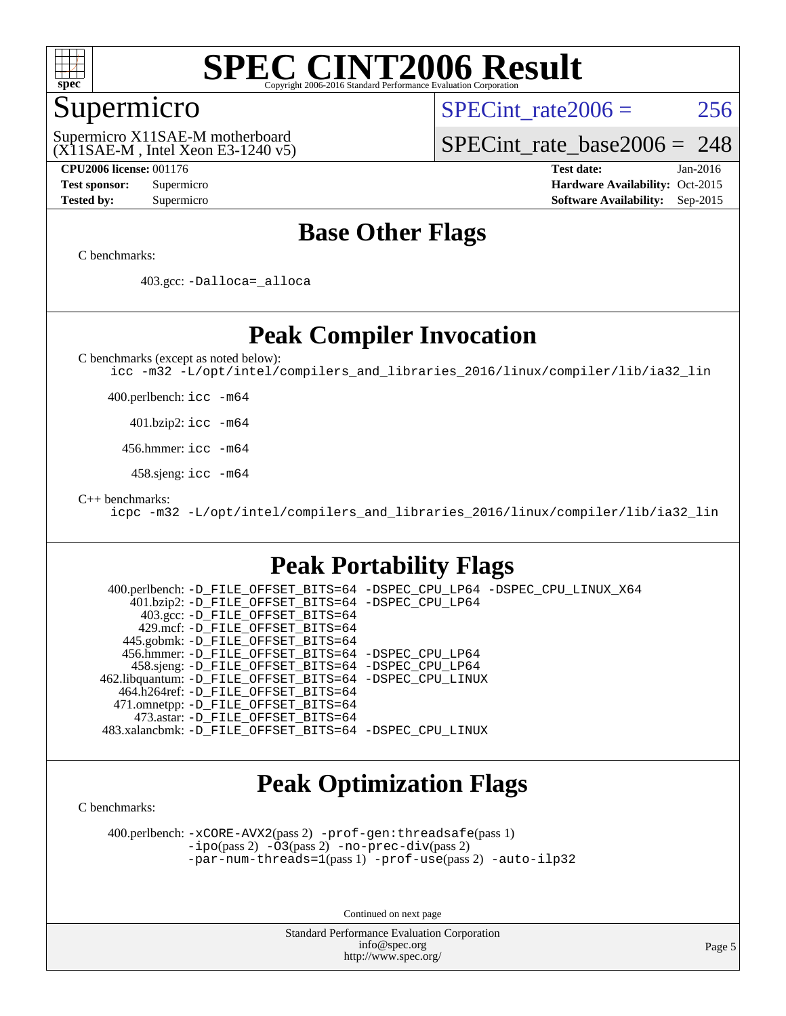

### Supermicro

SPECint rate $2006 = 256$ 

(X11SAE-M , Intel Xeon E3-1240 v5) Supermicro X11SAE-M motherboard

[SPECint\\_rate\\_base2006 =](http://www.spec.org/auto/cpu2006/Docs/result-fields.html#SPECintratebase2006) 248

**[CPU2006 license:](http://www.spec.org/auto/cpu2006/Docs/result-fields.html#CPU2006license)** 001176 **[Test date:](http://www.spec.org/auto/cpu2006/Docs/result-fields.html#Testdate)** Jan-2016 **[Test sponsor:](http://www.spec.org/auto/cpu2006/Docs/result-fields.html#Testsponsor)** Supermicro Supermicro **[Hardware Availability:](http://www.spec.org/auto/cpu2006/Docs/result-fields.html#HardwareAvailability)** Oct-2015 **[Tested by:](http://www.spec.org/auto/cpu2006/Docs/result-fields.html#Testedby)** Supermicro **Supermicro [Software Availability:](http://www.spec.org/auto/cpu2006/Docs/result-fields.html#SoftwareAvailability)** Sep-2015

### **[Base Other Flags](http://www.spec.org/auto/cpu2006/Docs/result-fields.html#BaseOtherFlags)**

[C benchmarks](http://www.spec.org/auto/cpu2006/Docs/result-fields.html#Cbenchmarks):

403.gcc: [-Dalloca=\\_alloca](http://www.spec.org/cpu2006/results/res2016q1/cpu2006-20160206-38980.flags.html#b403.gcc_baseEXTRA_CFLAGS_Dalloca_be3056838c12de2578596ca5467af7f3)

### **[Peak Compiler Invocation](http://www.spec.org/auto/cpu2006/Docs/result-fields.html#PeakCompilerInvocation)**

[C benchmarks \(except as noted below\)](http://www.spec.org/auto/cpu2006/Docs/result-fields.html#Cbenchmarksexceptasnotedbelow):

[icc -m32 -L/opt/intel/compilers\\_and\\_libraries\\_2016/linux/compiler/lib/ia32\\_lin](http://www.spec.org/cpu2006/results/res2016q1/cpu2006-20160206-38980.flags.html#user_CCpeak_intel_icc_e10256ba5924b668798078a321b0cb3f)

400.perlbench: [icc -m64](http://www.spec.org/cpu2006/results/res2016q1/cpu2006-20160206-38980.flags.html#user_peakCCLD400_perlbench_intel_icc_64bit_bda6cc9af1fdbb0edc3795bac97ada53)

401.bzip2: [icc -m64](http://www.spec.org/cpu2006/results/res2016q1/cpu2006-20160206-38980.flags.html#user_peakCCLD401_bzip2_intel_icc_64bit_bda6cc9af1fdbb0edc3795bac97ada53)

456.hmmer: [icc -m64](http://www.spec.org/cpu2006/results/res2016q1/cpu2006-20160206-38980.flags.html#user_peakCCLD456_hmmer_intel_icc_64bit_bda6cc9af1fdbb0edc3795bac97ada53)

458.sjeng: [icc -m64](http://www.spec.org/cpu2006/results/res2016q1/cpu2006-20160206-38980.flags.html#user_peakCCLD458_sjeng_intel_icc_64bit_bda6cc9af1fdbb0edc3795bac97ada53)

[C++ benchmarks:](http://www.spec.org/auto/cpu2006/Docs/result-fields.html#CXXbenchmarks)

[icpc -m32 -L/opt/intel/compilers\\_and\\_libraries\\_2016/linux/compiler/lib/ia32\\_lin](http://www.spec.org/cpu2006/results/res2016q1/cpu2006-20160206-38980.flags.html#user_CXXpeak_intel_icpc_b4f50a394bdb4597aa5879c16bc3f5c5)

### **[Peak Portability Flags](http://www.spec.org/auto/cpu2006/Docs/result-fields.html#PeakPortabilityFlags)**

 400.perlbench: [-D\\_FILE\\_OFFSET\\_BITS=64](http://www.spec.org/cpu2006/results/res2016q1/cpu2006-20160206-38980.flags.html#user_peakPORTABILITY400_perlbench_file_offset_bits_64_438cf9856305ebd76870a2c6dc2689ab) [-DSPEC\\_CPU\\_LP64](http://www.spec.org/cpu2006/results/res2016q1/cpu2006-20160206-38980.flags.html#b400.perlbench_peakCPORTABILITY_DSPEC_CPU_LP64) [-DSPEC\\_CPU\\_LINUX\\_X64](http://www.spec.org/cpu2006/results/res2016q1/cpu2006-20160206-38980.flags.html#b400.perlbench_peakCPORTABILITY_DSPEC_CPU_LINUX_X64) 401.bzip2: [-D\\_FILE\\_OFFSET\\_BITS=64](http://www.spec.org/cpu2006/results/res2016q1/cpu2006-20160206-38980.flags.html#user_peakPORTABILITY401_bzip2_file_offset_bits_64_438cf9856305ebd76870a2c6dc2689ab) [-DSPEC\\_CPU\\_LP64](http://www.spec.org/cpu2006/results/res2016q1/cpu2006-20160206-38980.flags.html#suite_peakCPORTABILITY401_bzip2_DSPEC_CPU_LP64) 403.gcc: [-D\\_FILE\\_OFFSET\\_BITS=64](http://www.spec.org/cpu2006/results/res2016q1/cpu2006-20160206-38980.flags.html#user_peakPORTABILITY403_gcc_file_offset_bits_64_438cf9856305ebd76870a2c6dc2689ab) 429.mcf: [-D\\_FILE\\_OFFSET\\_BITS=64](http://www.spec.org/cpu2006/results/res2016q1/cpu2006-20160206-38980.flags.html#user_peakPORTABILITY429_mcf_file_offset_bits_64_438cf9856305ebd76870a2c6dc2689ab) 445.gobmk: [-D\\_FILE\\_OFFSET\\_BITS=64](http://www.spec.org/cpu2006/results/res2016q1/cpu2006-20160206-38980.flags.html#user_peakPORTABILITY445_gobmk_file_offset_bits_64_438cf9856305ebd76870a2c6dc2689ab) 456.hmmer: [-D\\_FILE\\_OFFSET\\_BITS=64](http://www.spec.org/cpu2006/results/res2016q1/cpu2006-20160206-38980.flags.html#user_peakPORTABILITY456_hmmer_file_offset_bits_64_438cf9856305ebd76870a2c6dc2689ab) [-DSPEC\\_CPU\\_LP64](http://www.spec.org/cpu2006/results/res2016q1/cpu2006-20160206-38980.flags.html#suite_peakCPORTABILITY456_hmmer_DSPEC_CPU_LP64) 458.sjeng: [-D\\_FILE\\_OFFSET\\_BITS=64](http://www.spec.org/cpu2006/results/res2016q1/cpu2006-20160206-38980.flags.html#user_peakPORTABILITY458_sjeng_file_offset_bits_64_438cf9856305ebd76870a2c6dc2689ab) [-DSPEC\\_CPU\\_LP64](http://www.spec.org/cpu2006/results/res2016q1/cpu2006-20160206-38980.flags.html#suite_peakCPORTABILITY458_sjeng_DSPEC_CPU_LP64) 462.libquantum: [-D\\_FILE\\_OFFSET\\_BITS=64](http://www.spec.org/cpu2006/results/res2016q1/cpu2006-20160206-38980.flags.html#user_peakPORTABILITY462_libquantum_file_offset_bits_64_438cf9856305ebd76870a2c6dc2689ab) [-DSPEC\\_CPU\\_LINUX](http://www.spec.org/cpu2006/results/res2016q1/cpu2006-20160206-38980.flags.html#b462.libquantum_peakCPORTABILITY_DSPEC_CPU_LINUX) 464.h264ref: [-D\\_FILE\\_OFFSET\\_BITS=64](http://www.spec.org/cpu2006/results/res2016q1/cpu2006-20160206-38980.flags.html#user_peakPORTABILITY464_h264ref_file_offset_bits_64_438cf9856305ebd76870a2c6dc2689ab) 471.omnetpp: [-D\\_FILE\\_OFFSET\\_BITS=64](http://www.spec.org/cpu2006/results/res2016q1/cpu2006-20160206-38980.flags.html#user_peakPORTABILITY471_omnetpp_file_offset_bits_64_438cf9856305ebd76870a2c6dc2689ab) 473.astar: [-D\\_FILE\\_OFFSET\\_BITS=64](http://www.spec.org/cpu2006/results/res2016q1/cpu2006-20160206-38980.flags.html#user_peakPORTABILITY473_astar_file_offset_bits_64_438cf9856305ebd76870a2c6dc2689ab) 483.xalancbmk: [-D\\_FILE\\_OFFSET\\_BITS=64](http://www.spec.org/cpu2006/results/res2016q1/cpu2006-20160206-38980.flags.html#user_peakPORTABILITY483_xalancbmk_file_offset_bits_64_438cf9856305ebd76870a2c6dc2689ab) [-DSPEC\\_CPU\\_LINUX](http://www.spec.org/cpu2006/results/res2016q1/cpu2006-20160206-38980.flags.html#b483.xalancbmk_peakCXXPORTABILITY_DSPEC_CPU_LINUX)

### **[Peak Optimization Flags](http://www.spec.org/auto/cpu2006/Docs/result-fields.html#PeakOptimizationFlags)**

[C benchmarks](http://www.spec.org/auto/cpu2006/Docs/result-fields.html#Cbenchmarks):

 400.perlbench: [-xCORE-AVX2](http://www.spec.org/cpu2006/results/res2016q1/cpu2006-20160206-38980.flags.html#user_peakPASS2_CFLAGSPASS2_LDCFLAGS400_perlbench_f-xAVX2_5f5fc0cbe2c9f62c816d3e45806c70d7)(pass 2) [-prof-gen:threadsafe](http://www.spec.org/cpu2006/results/res2016q1/cpu2006-20160206-38980.flags.html#user_peakPASS1_CFLAGSPASS1_LDCFLAGS400_perlbench_prof_gen_21a26eb79f378b550acd7bec9fe4467a)(pass 1) [-ipo](http://www.spec.org/cpu2006/results/res2016q1/cpu2006-20160206-38980.flags.html#user_peakPASS2_CFLAGSPASS2_LDCFLAGS400_perlbench_f-ipo)(pass 2) [-O3](http://www.spec.org/cpu2006/results/res2016q1/cpu2006-20160206-38980.flags.html#user_peakPASS2_CFLAGSPASS2_LDCFLAGS400_perlbench_f-O3)(pass 2) [-no-prec-div](http://www.spec.org/cpu2006/results/res2016q1/cpu2006-20160206-38980.flags.html#user_peakPASS2_CFLAGSPASS2_LDCFLAGS400_perlbench_f-no-prec-div)(pass 2) [-par-num-threads=1](http://www.spec.org/cpu2006/results/res2016q1/cpu2006-20160206-38980.flags.html#user_peakPASS1_CFLAGSPASS1_LDCFLAGS400_perlbench_par_num_threads_786a6ff141b4e9e90432e998842df6c2)(pass 1) [-prof-use](http://www.spec.org/cpu2006/results/res2016q1/cpu2006-20160206-38980.flags.html#user_peakPASS2_CFLAGSPASS2_LDCFLAGS400_perlbench_prof_use_bccf7792157ff70d64e32fe3e1250b55)(pass 2) [-auto-ilp32](http://www.spec.org/cpu2006/results/res2016q1/cpu2006-20160206-38980.flags.html#user_peakCOPTIMIZE400_perlbench_f-auto-ilp32)

Continued on next page

Standard Performance Evaluation Corporation [info@spec.org](mailto:info@spec.org) <http://www.spec.org/>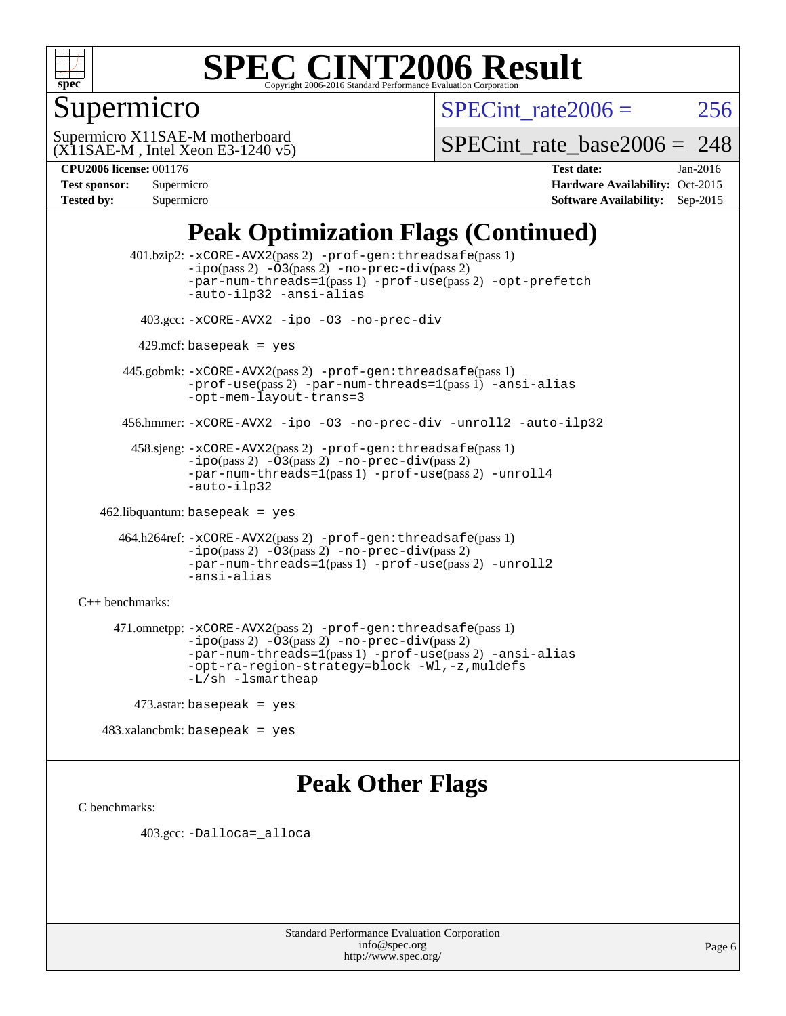

### Supermicro

SPECint rate  $2006 = 256$ 

(X11SAE-M , Intel Xeon E3-1240 v5) Supermicro X11SAE-M motherboard

SPECint rate base2006 =  $248$ 

| <b>Test sponsor:</b> | Supermicro |
|----------------------|------------|
| <b>Tested by:</b>    | Supermicro |

**[CPU2006 license:](http://www.spec.org/auto/cpu2006/Docs/result-fields.html#CPU2006license)** 001176 **[Test date:](http://www.spec.org/auto/cpu2006/Docs/result-fields.html#Testdate)** Jan-2016 **[Hardware Availability:](http://www.spec.org/auto/cpu2006/Docs/result-fields.html#HardwareAvailability)** Oct-2015 **[Software Availability:](http://www.spec.org/auto/cpu2006/Docs/result-fields.html#SoftwareAvailability)** Sep-2015

## **[Peak Optimization Flags \(Continued\)](http://www.spec.org/auto/cpu2006/Docs/result-fields.html#PeakOptimizationFlags)**

 401.bzip2: [-xCORE-AVX2](http://www.spec.org/cpu2006/results/res2016q1/cpu2006-20160206-38980.flags.html#user_peakPASS2_CFLAGSPASS2_LDCFLAGS401_bzip2_f-xAVX2_5f5fc0cbe2c9f62c816d3e45806c70d7)(pass 2) [-prof-gen:threadsafe](http://www.spec.org/cpu2006/results/res2016q1/cpu2006-20160206-38980.flags.html#user_peakPASS1_CFLAGSPASS1_LDCFLAGS401_bzip2_prof_gen_21a26eb79f378b550acd7bec9fe4467a)(pass 1)  $-i\text{po}(pass 2) -\text{O3}(pass 2)$  [-no-prec-div](http://www.spec.org/cpu2006/results/res2016q1/cpu2006-20160206-38980.flags.html#user_peakPASS2_CFLAGSPASS2_LDCFLAGS401_bzip2_f-no-prec-div)(pass 2) [-par-num-threads=1](http://www.spec.org/cpu2006/results/res2016q1/cpu2006-20160206-38980.flags.html#user_peakPASS1_CFLAGSPASS1_LDCFLAGS401_bzip2_par_num_threads_786a6ff141b4e9e90432e998842df6c2)(pass 1) [-prof-use](http://www.spec.org/cpu2006/results/res2016q1/cpu2006-20160206-38980.flags.html#user_peakPASS2_CFLAGSPASS2_LDCFLAGS401_bzip2_prof_use_bccf7792157ff70d64e32fe3e1250b55)(pass 2) [-opt-prefetch](http://www.spec.org/cpu2006/results/res2016q1/cpu2006-20160206-38980.flags.html#user_peakCOPTIMIZE401_bzip2_f-opt-prefetch) [-auto-ilp32](http://www.spec.org/cpu2006/results/res2016q1/cpu2006-20160206-38980.flags.html#user_peakCOPTIMIZE401_bzip2_f-auto-ilp32) [-ansi-alias](http://www.spec.org/cpu2006/results/res2016q1/cpu2006-20160206-38980.flags.html#user_peakCOPTIMIZE401_bzip2_f-ansi-alias) 403.gcc: [-xCORE-AVX2](http://www.spec.org/cpu2006/results/res2016q1/cpu2006-20160206-38980.flags.html#user_peakCOPTIMIZE403_gcc_f-xAVX2_5f5fc0cbe2c9f62c816d3e45806c70d7) [-ipo](http://www.spec.org/cpu2006/results/res2016q1/cpu2006-20160206-38980.flags.html#user_peakCOPTIMIZE403_gcc_f-ipo) [-O3](http://www.spec.org/cpu2006/results/res2016q1/cpu2006-20160206-38980.flags.html#user_peakCOPTIMIZE403_gcc_f-O3) [-no-prec-div](http://www.spec.org/cpu2006/results/res2016q1/cpu2006-20160206-38980.flags.html#user_peakCOPTIMIZE403_gcc_f-no-prec-div)  $429$ .mcf: basepeak = yes 445.gobmk: [-xCORE-AVX2](http://www.spec.org/cpu2006/results/res2016q1/cpu2006-20160206-38980.flags.html#user_peakPASS2_CFLAGSPASS2_LDCFLAGS445_gobmk_f-xAVX2_5f5fc0cbe2c9f62c816d3e45806c70d7)(pass 2) [-prof-gen:threadsafe](http://www.spec.org/cpu2006/results/res2016q1/cpu2006-20160206-38980.flags.html#user_peakPASS1_CFLAGSPASS1_LDCFLAGS445_gobmk_prof_gen_21a26eb79f378b550acd7bec9fe4467a)(pass 1) [-prof-use](http://www.spec.org/cpu2006/results/res2016q1/cpu2006-20160206-38980.flags.html#user_peakPASS2_CFLAGSPASS2_LDCFLAGS445_gobmk_prof_use_bccf7792157ff70d64e32fe3e1250b55)(pass 2) [-par-num-threads=1](http://www.spec.org/cpu2006/results/res2016q1/cpu2006-20160206-38980.flags.html#user_peakPASS1_CFLAGSPASS1_LDCFLAGS445_gobmk_par_num_threads_786a6ff141b4e9e90432e998842df6c2)(pass 1) [-ansi-alias](http://www.spec.org/cpu2006/results/res2016q1/cpu2006-20160206-38980.flags.html#user_peakCOPTIMIZE445_gobmk_f-ansi-alias) [-opt-mem-layout-trans=3](http://www.spec.org/cpu2006/results/res2016q1/cpu2006-20160206-38980.flags.html#user_peakCOPTIMIZE445_gobmk_f-opt-mem-layout-trans_a7b82ad4bd7abf52556d4961a2ae94d5) 456.hmmer: [-xCORE-AVX2](http://www.spec.org/cpu2006/results/res2016q1/cpu2006-20160206-38980.flags.html#user_peakCOPTIMIZE456_hmmer_f-xAVX2_5f5fc0cbe2c9f62c816d3e45806c70d7) [-ipo](http://www.spec.org/cpu2006/results/res2016q1/cpu2006-20160206-38980.flags.html#user_peakCOPTIMIZE456_hmmer_f-ipo) [-O3](http://www.spec.org/cpu2006/results/res2016q1/cpu2006-20160206-38980.flags.html#user_peakCOPTIMIZE456_hmmer_f-O3) [-no-prec-div](http://www.spec.org/cpu2006/results/res2016q1/cpu2006-20160206-38980.flags.html#user_peakCOPTIMIZE456_hmmer_f-no-prec-div) [-unroll2](http://www.spec.org/cpu2006/results/res2016q1/cpu2006-20160206-38980.flags.html#user_peakCOPTIMIZE456_hmmer_f-unroll_784dae83bebfb236979b41d2422d7ec2) [-auto-ilp32](http://www.spec.org/cpu2006/results/res2016q1/cpu2006-20160206-38980.flags.html#user_peakCOPTIMIZE456_hmmer_f-auto-ilp32) 458.sjeng: [-xCORE-AVX2](http://www.spec.org/cpu2006/results/res2016q1/cpu2006-20160206-38980.flags.html#user_peakPASS2_CFLAGSPASS2_LDCFLAGS458_sjeng_f-xAVX2_5f5fc0cbe2c9f62c816d3e45806c70d7)(pass 2) [-prof-gen:threadsafe](http://www.spec.org/cpu2006/results/res2016q1/cpu2006-20160206-38980.flags.html#user_peakPASS1_CFLAGSPASS1_LDCFLAGS458_sjeng_prof_gen_21a26eb79f378b550acd7bec9fe4467a)(pass 1)  $-i\text{po}(pass 2) -\overline{O}3(pass 2)$  [-no-prec-div](http://www.spec.org/cpu2006/results/res2016q1/cpu2006-20160206-38980.flags.html#user_peakPASS2_CFLAGSPASS2_LDCFLAGS458_sjeng_f-no-prec-div)(pass 2) [-par-num-threads=1](http://www.spec.org/cpu2006/results/res2016q1/cpu2006-20160206-38980.flags.html#user_peakPASS1_CFLAGSPASS1_LDCFLAGS458_sjeng_par_num_threads_786a6ff141b4e9e90432e998842df6c2)(pass 1) [-prof-use](http://www.spec.org/cpu2006/results/res2016q1/cpu2006-20160206-38980.flags.html#user_peakPASS2_CFLAGSPASS2_LDCFLAGS458_sjeng_prof_use_bccf7792157ff70d64e32fe3e1250b55)(pass 2) [-unroll4](http://www.spec.org/cpu2006/results/res2016q1/cpu2006-20160206-38980.flags.html#user_peakCOPTIMIZE458_sjeng_f-unroll_4e5e4ed65b7fd20bdcd365bec371b81f) [-auto-ilp32](http://www.spec.org/cpu2006/results/res2016q1/cpu2006-20160206-38980.flags.html#user_peakCOPTIMIZE458_sjeng_f-auto-ilp32) 462.libquantum: basepeak = yes 464.h264ref: [-xCORE-AVX2](http://www.spec.org/cpu2006/results/res2016q1/cpu2006-20160206-38980.flags.html#user_peakPASS2_CFLAGSPASS2_LDCFLAGS464_h264ref_f-xAVX2_5f5fc0cbe2c9f62c816d3e45806c70d7)(pass 2) [-prof-gen:threadsafe](http://www.spec.org/cpu2006/results/res2016q1/cpu2006-20160206-38980.flags.html#user_peakPASS1_CFLAGSPASS1_LDCFLAGS464_h264ref_prof_gen_21a26eb79f378b550acd7bec9fe4467a)(pass 1) [-ipo](http://www.spec.org/cpu2006/results/res2016q1/cpu2006-20160206-38980.flags.html#user_peakPASS2_CFLAGSPASS2_LDCFLAGS464_h264ref_f-ipo)(pass 2) [-O3](http://www.spec.org/cpu2006/results/res2016q1/cpu2006-20160206-38980.flags.html#user_peakPASS2_CFLAGSPASS2_LDCFLAGS464_h264ref_f-O3)(pass 2) [-no-prec-div](http://www.spec.org/cpu2006/results/res2016q1/cpu2006-20160206-38980.flags.html#user_peakPASS2_CFLAGSPASS2_LDCFLAGS464_h264ref_f-no-prec-div)(pass 2) [-par-num-threads=1](http://www.spec.org/cpu2006/results/res2016q1/cpu2006-20160206-38980.flags.html#user_peakPASS1_CFLAGSPASS1_LDCFLAGS464_h264ref_par_num_threads_786a6ff141b4e9e90432e998842df6c2)(pass 1) [-prof-use](http://www.spec.org/cpu2006/results/res2016q1/cpu2006-20160206-38980.flags.html#user_peakPASS2_CFLAGSPASS2_LDCFLAGS464_h264ref_prof_use_bccf7792157ff70d64e32fe3e1250b55)(pass 2) [-unroll2](http://www.spec.org/cpu2006/results/res2016q1/cpu2006-20160206-38980.flags.html#user_peakCOPTIMIZE464_h264ref_f-unroll_784dae83bebfb236979b41d2422d7ec2) [-ansi-alias](http://www.spec.org/cpu2006/results/res2016q1/cpu2006-20160206-38980.flags.html#user_peakCOPTIMIZE464_h264ref_f-ansi-alias) [C++ benchmarks:](http://www.spec.org/auto/cpu2006/Docs/result-fields.html#CXXbenchmarks) 471.omnetpp: [-xCORE-AVX2](http://www.spec.org/cpu2006/results/res2016q1/cpu2006-20160206-38980.flags.html#user_peakPASS2_CXXFLAGSPASS2_LDCXXFLAGS471_omnetpp_f-xAVX2_5f5fc0cbe2c9f62c816d3e45806c70d7)(pass 2) [-prof-gen:threadsafe](http://www.spec.org/cpu2006/results/res2016q1/cpu2006-20160206-38980.flags.html#user_peakPASS1_CXXFLAGSPASS1_LDCXXFLAGS471_omnetpp_prof_gen_21a26eb79f378b550acd7bec9fe4467a)(pass 1)  $-ipo(pass 2) -\overline{03(pass 2)}$  $-ipo(pass 2) -\overline{03(pass 2)}$  [-no-prec-div](http://www.spec.org/cpu2006/results/res2016q1/cpu2006-20160206-38980.flags.html#user_peakPASS2_CXXFLAGSPASS2_LDCXXFLAGS471_omnetpp_f-no-prec-div)(pass 2) [-par-num-threads=1](http://www.spec.org/cpu2006/results/res2016q1/cpu2006-20160206-38980.flags.html#user_peakPASS1_CXXFLAGSPASS1_LDCXXFLAGS471_omnetpp_par_num_threads_786a6ff141b4e9e90432e998842df6c2)(pass 1) [-prof-use](http://www.spec.org/cpu2006/results/res2016q1/cpu2006-20160206-38980.flags.html#user_peakPASS2_CXXFLAGSPASS2_LDCXXFLAGS471_omnetpp_prof_use_bccf7792157ff70d64e32fe3e1250b55)(pass 2) [-ansi-alias](http://www.spec.org/cpu2006/results/res2016q1/cpu2006-20160206-38980.flags.html#user_peakCXXOPTIMIZE471_omnetpp_f-ansi-alias) [-opt-ra-region-strategy=block](http://www.spec.org/cpu2006/results/res2016q1/cpu2006-20160206-38980.flags.html#user_peakCXXOPTIMIZE471_omnetpp_f-opt-ra-region-strategy_a0a37c372d03933b2a18d4af463c1f69) [-Wl,-z,muldefs](http://www.spec.org/cpu2006/results/res2016q1/cpu2006-20160206-38980.flags.html#user_peakEXTRA_LDFLAGS471_omnetpp_link_force_multiple1_74079c344b956b9658436fd1b6dd3a8a) [-L/sh -lsmartheap](http://www.spec.org/cpu2006/results/res2016q1/cpu2006-20160206-38980.flags.html#user_peakEXTRA_LIBS471_omnetpp_SmartHeap_32f6c82aa1ed9c52345d30cf6e4a0499) 473.astar: basepeak = yes

483.xalancbmk: basepeak = yes

### **[Peak Other Flags](http://www.spec.org/auto/cpu2006/Docs/result-fields.html#PeakOtherFlags)**

[C benchmarks](http://www.spec.org/auto/cpu2006/Docs/result-fields.html#Cbenchmarks):

403.gcc: [-Dalloca=\\_alloca](http://www.spec.org/cpu2006/results/res2016q1/cpu2006-20160206-38980.flags.html#b403.gcc_peakEXTRA_CFLAGS_Dalloca_be3056838c12de2578596ca5467af7f3)